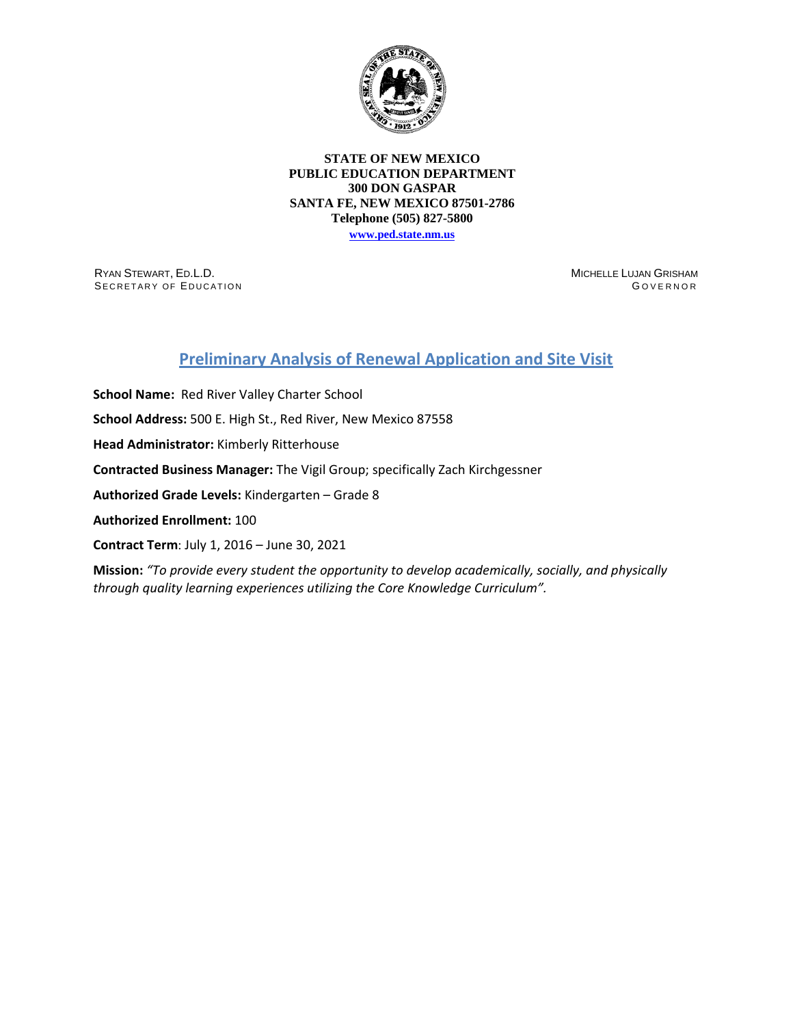

## **STATE OF NEW MEXICO PUBLIC EDUCATION DEPARTMENT 300 DON GASPAR SANTA FE, NEW MEXICO 87501-2786 Telephone (505) 827-5800**

**[www.ped.state.nm.us](http://webnew.ped.state.nm.us/)**

RYAN STEWART, ED.L.D. SECRETARY OF EDUCATION MICHELLE LUJAN GRISHAM G OVERNOR

## **Preliminary Analysis of Renewal Application and Site Visit**

**School Name:** Red River Valley Charter School **School Address:** 500 E. High St., Red River, New Mexico 87558 **Head Administrator:** Kimberly Ritterhouse **Contracted Business Manager:** The Vigil Group; specifically Zach Kirchgessner **Authorized Grade Levels:** Kindergarten – Grade 8 **Authorized Enrollment:** 100 **Contract Term**: July 1, 2016 – June 30, 2021

**Mission:** *"To provide every student the opportunity to develop academically, socially, and physically through quality learning experiences utilizing the Core Knowledge Curriculum".*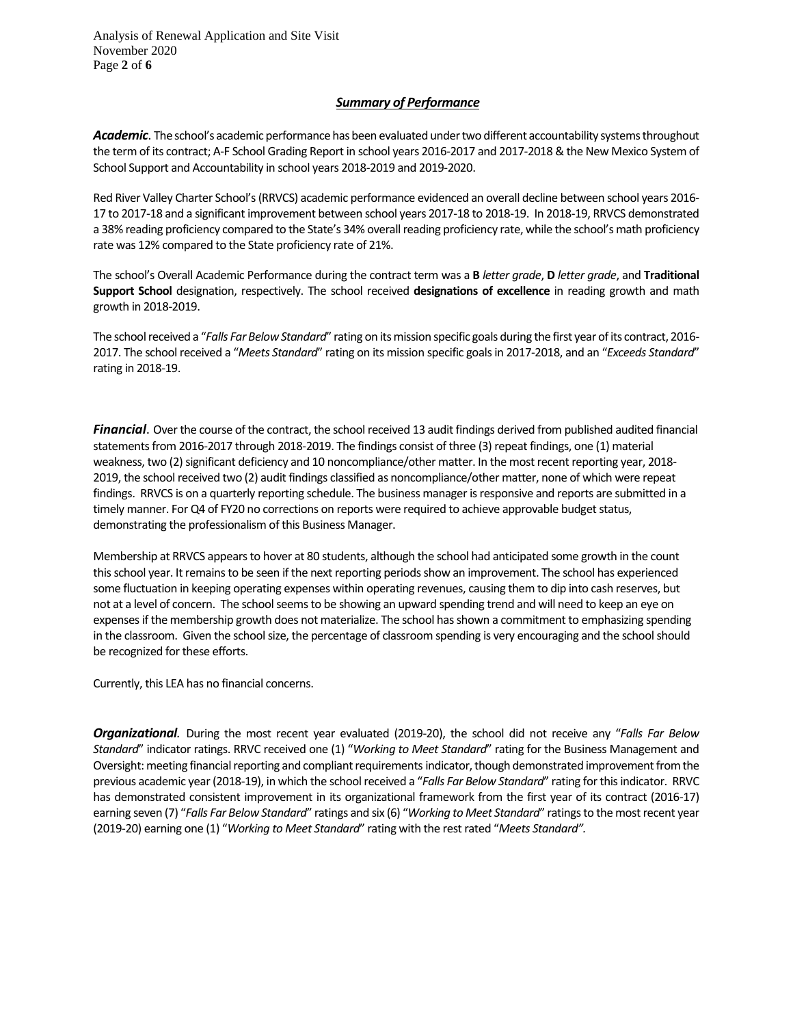Analysis of Renewal Application and Site Visit November 2020 Page **2** of **6**

## *Summary of Performance*

Academic. The school's academic performance has been evaluated under two different accountability systems throughout the term of its contract; A-F School Grading Report in school years 2016-2017 and 2017-2018 & the New Mexico System of School Support and Accountability in school years 2018-2019 and 2019-2020.

Red River Valley Charter School's(RRVCS) academic performance evidenced an overall decline between school years 2016- 17 to 2017-18 and a significant improvement between school years 2017-18 to 2018-19. In 2018-19, RRVCS demonstrated a 38% reading proficiency compared to the State's 34% overall reading proficiency rate, while the school's math proficiency rate was 12% compared to the State proficiency rate of 21%.

The school's Overall Academic Performance during the contract term was a **B** *letter grade*, **D** *letter grade*, and **Traditional Support School** designation, respectively. The school received **designations of excellence** in reading growth and math growth in 2018-2019.

The school received a "*Falls Far Below Standard*" rating on its mission specific goals during the first year of its contract, 2016- 2017. The school received a "*Meets Standard*" rating on its mission specific goalsin 2017-2018, and an "*Exceeds Standard*" rating in 2018-19.

*Financial*. Over the course of the contract, the school received 13 audit findings derived from published audited financial statements from 2016-2017 through 2018-2019. The findings consist of three (3) repeat findings, one (1) material weakness, two (2) significant deficiency and 10 noncompliance/other matter. In the most recent reporting year, 2018-2019, the school received two (2) audit findings classified as noncompliance/other matter, none of which were repeat findings. RRVCS is on a quarterly reporting schedule. The business manager is responsive and reports are submitted in a timely manner. For Q4 of FY20 no corrections on reports were required to achieve approvable budget status, demonstrating the professionalism of this Business Manager.

Membership at RRVCS appears to hover at 80 students, although the school had anticipated some growth in the count this school year. It remains to be seen if the next reporting periods show an improvement. The school has experienced some fluctuation in keeping operating expenses within operating revenues, causing them to dip into cash reserves, but not at a level of concern. The school seems to be showing an upward spending trend and will need to keep an eye on expenses if the membership growth does not materialize. The school has shown a commitment to emphasizing spending in the classroom. Given the school size, the percentage of classroom spending is very encouraging and the school should be recognized for these efforts.

Currently, this LEA has no financial concerns.

*Organizational.* During the most recent year evaluated (2019-20), the school did not receive any "*Falls Far Below Standard*" indicator ratings. RRVC received one (1) "*Working to Meet Standard*" rating for the Business Management and Oversight: meeting financial reporting and compliant requirementsindicator, though demonstrated improvement from the previous academic year (2018-19), in which the school received a "*Falls Far Below Standard*" rating for this indicator. RRVC has demonstrated consistent improvement in its organizational framework from the first year of its contract (2016-17) earning seven (7) "*Falls Far Below Standard*" ratings and six (6) "*Working to Meet Standard*" ratings to the most recent year (2019-20) earning one (1) "*Working to Meet Standard*" rating with the rest rated "*Meets Standard".*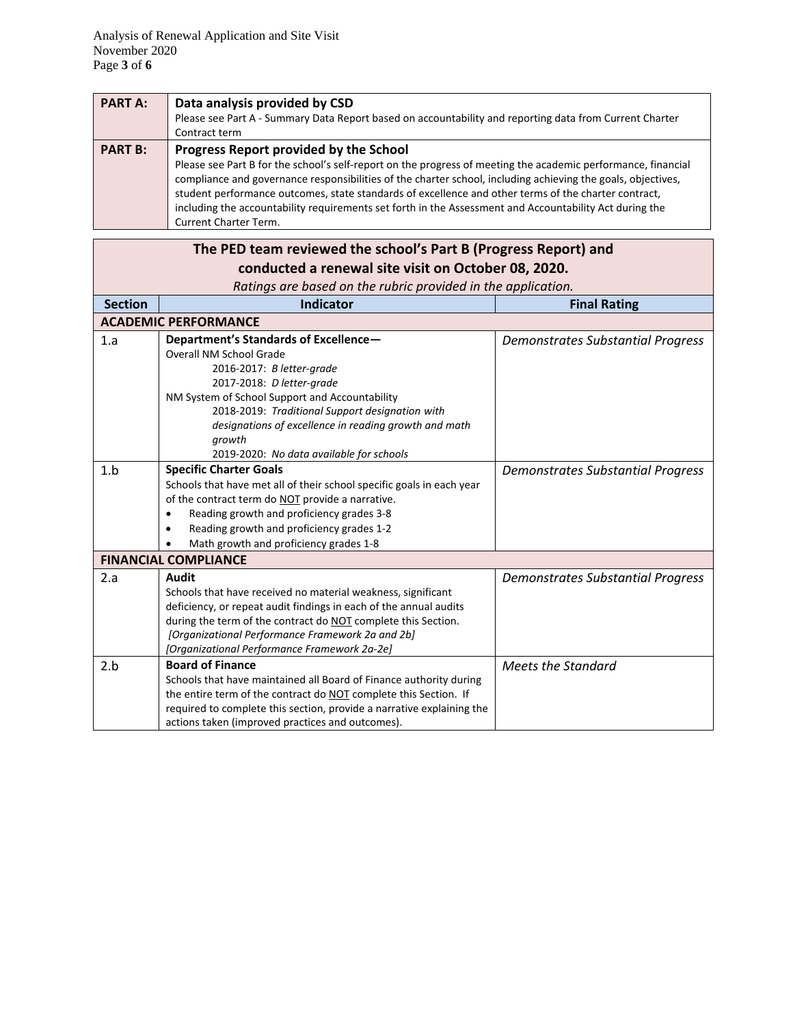| <b>PART A:</b> | Data analysis provided by CSD                                                                                 |
|----------------|---------------------------------------------------------------------------------------------------------------|
|                | Please see Part A - Summary Data Report based on accountability and reporting data from Current Charter       |
|                | Contract term                                                                                                 |
| <b>PART B:</b> | Progress Report provided by the School                                                                        |
|                | Please see Part B for the school's self-report on the progress of meeting the academic performance, financial |
|                | compliance and governance responsibilities of the charter school, including achieving the goals, objectives,  |
|                | student performance outcomes, state standards of excellence and other terms of the charter contract,          |
|                | including the accountability requirements set forth in the Assessment and Accountability Act during the       |
|                | <b>Current Charter Term.</b>                                                                                  |

|                | The PED team reviewed the school's Part B (Progress Report) and       |                                          |  |  |  |  |
|----------------|-----------------------------------------------------------------------|------------------------------------------|--|--|--|--|
|                | conducted a renewal site visit on October 08, 2020.                   |                                          |  |  |  |  |
|                | Ratings are based on the rubric provided in the application.          |                                          |  |  |  |  |
| <b>Section</b> | <b>Indicator</b>                                                      | <b>Final Rating</b>                      |  |  |  |  |
|                | <b>ACADEMIC PERFORMANCE</b>                                           |                                          |  |  |  |  |
| 1.a            | Department's Standards of Excellence-                                 | <b>Demonstrates Substantial Progress</b> |  |  |  |  |
|                | <b>Overall NM School Grade</b>                                        |                                          |  |  |  |  |
|                | 2016-2017: B letter-grade                                             |                                          |  |  |  |  |
|                | 2017-2018: D letter-grade                                             |                                          |  |  |  |  |
|                | NM System of School Support and Accountability                        |                                          |  |  |  |  |
|                | 2018-2019: Traditional Support designation with                       |                                          |  |  |  |  |
|                | designations of excellence in reading growth and math                 |                                          |  |  |  |  |
|                | growth                                                                |                                          |  |  |  |  |
|                | 2019-2020: No data available for schools                              |                                          |  |  |  |  |
| 1.b            | <b>Specific Charter Goals</b>                                         | <b>Demonstrates Substantial Progress</b> |  |  |  |  |
|                | Schools that have met all of their school specific goals in each year |                                          |  |  |  |  |
|                | of the contract term do NOT provide a narrative.                      |                                          |  |  |  |  |
|                | Reading growth and proficiency grades 3-8<br>٠                        |                                          |  |  |  |  |
|                | Reading growth and proficiency grades 1-2<br>٠                        |                                          |  |  |  |  |
|                | Math growth and proficiency grades 1-8                                |                                          |  |  |  |  |
|                | <b>FINANCIAL COMPLIANCE</b>                                           |                                          |  |  |  |  |
| 2.a            | <b>Audit</b>                                                          | Demonstrates Substantial Progress        |  |  |  |  |
|                | Schools that have received no material weakness, significant          |                                          |  |  |  |  |
|                | deficiency, or repeat audit findings in each of the annual audits     |                                          |  |  |  |  |
|                | during the term of the contract do NOT complete this Section.         |                                          |  |  |  |  |
|                | [Organizational Performance Framework 2a and 2b]                      |                                          |  |  |  |  |
|                | [Organizational Performance Framework 2a-2e]                          |                                          |  |  |  |  |
| 2.b            | <b>Board of Finance</b>                                               | <b>Meets the Standard</b>                |  |  |  |  |
|                | Schools that have maintained all Board of Finance authority during    |                                          |  |  |  |  |
|                | the entire term of the contract do NOT complete this Section. If      |                                          |  |  |  |  |
|                | required to complete this section, provide a narrative explaining the |                                          |  |  |  |  |
|                | actions taken (improved practices and outcomes).                      |                                          |  |  |  |  |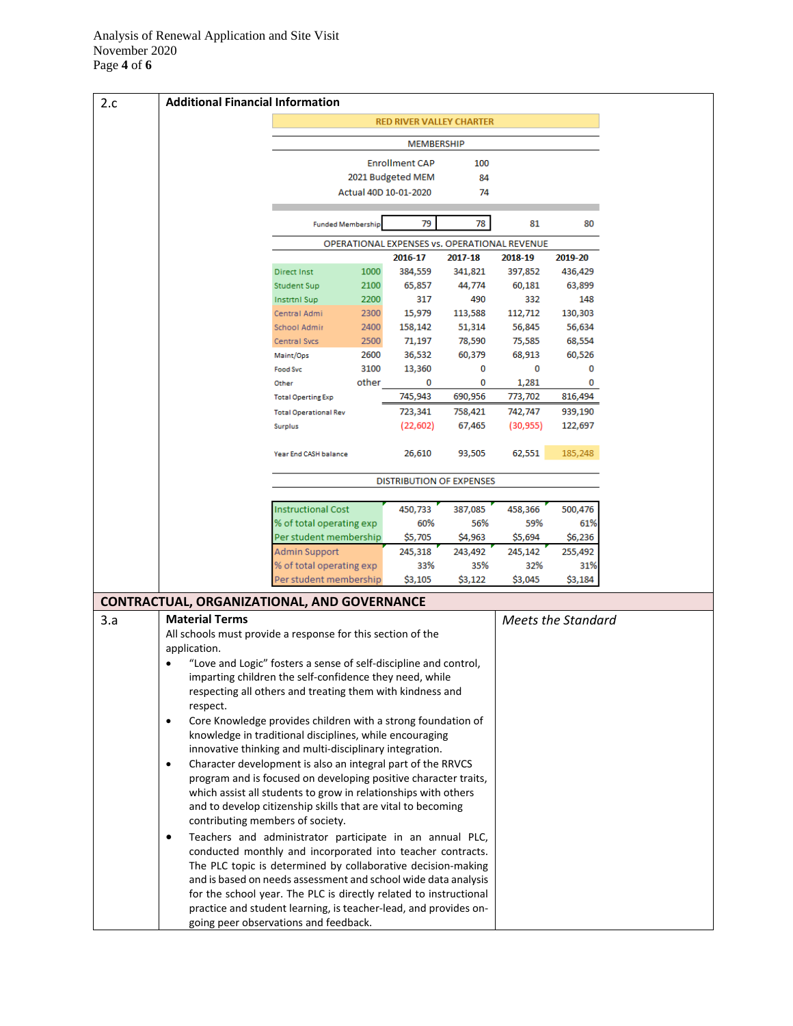| 2.c | <b>Additional Financial Information</b>                                                                                                                                                  |                                                    |                                      |                                            |                                              |                |                           |
|-----|------------------------------------------------------------------------------------------------------------------------------------------------------------------------------------------|----------------------------------------------------|--------------------------------------|--------------------------------------------|----------------------------------------------|----------------|---------------------------|
|     |                                                                                                                                                                                          |                                                    |                                      |                                            | <b>RED RIVER VALLEY CHARTER</b>              |                |                           |
|     |                                                                                                                                                                                          |                                                    |                                      | <b>MEMBERSHIP</b>                          |                                              |                |                           |
|     |                                                                                                                                                                                          |                                                    |                                      |                                            |                                              |                |                           |
|     |                                                                                                                                                                                          |                                                    |                                      | <b>Enrollment CAP</b><br>2021 Budgeted MEM | 100<br>84                                    |                |                           |
|     |                                                                                                                                                                                          |                                                    | Actual 40D 10-01-2020                |                                            | 74                                           |                |                           |
|     |                                                                                                                                                                                          |                                                    |                                      |                                            |                                              |                |                           |
|     |                                                                                                                                                                                          |                                                    | 79<br>78<br><b>Funded Membership</b> |                                            |                                              | 81             | 80                        |
|     |                                                                                                                                                                                          |                                                    |                                      |                                            | OPERATIONAL EXPENSES vs. OPERATIONAL REVENUE |                |                           |
|     |                                                                                                                                                                                          |                                                    |                                      | 2016-17                                    | 2017-18                                      | 2018-19        | 2019-20                   |
|     |                                                                                                                                                                                          | <b>Direct Inst</b>                                 | 1000                                 | 384,559                                    | 341,821                                      | 397,852        | 436,429                   |
|     |                                                                                                                                                                                          | Student Sup                                        | 2100<br>2200                         | 65,857<br>317                              | 44,774<br>490                                | 60,181<br>332  | 63,899<br>148             |
|     |                                                                                                                                                                                          | Instrtnl Sup<br>Central Admi                       | 2300                                 | 15,979                                     | 113,588                                      | 112,712        | 130,303                   |
|     |                                                                                                                                                                                          | School Admir                                       | 2400                                 | 158,142                                    | 51,314                                       | 56,845         | 56,634                    |
|     |                                                                                                                                                                                          | Central Svcs                                       | 2500                                 | 71,197                                     | 78,590                                       | 75,585         | 68,554                    |
|     |                                                                                                                                                                                          | Maint/Ops                                          | 2600                                 | 36,532                                     | 60,379                                       | 68,913         | 60,526                    |
|     |                                                                                                                                                                                          | <b>Food Svc</b>                                    | 3100                                 | 13,360                                     | 0                                            | 0              | 0                         |
|     |                                                                                                                                                                                          | Other                                              | other                                | 0                                          | 0                                            | 1,281          | 0                         |
|     |                                                                                                                                                                                          | <b>Total Operting Exp</b>                          |                                      | 745,943                                    | 690,956                                      | 773,702        | 816,494                   |
|     |                                                                                                                                                                                          | <b>Total Operational Rev</b>                       |                                      | 723,341                                    | 758,421                                      | 742,747        | 939,190                   |
|     |                                                                                                                                                                                          | Surplus                                            |                                      | (22, 602)                                  | 67,465                                       | (30, 955)      | 122,697                   |
|     |                                                                                                                                                                                          | Year End CASH balance                              |                                      | 26,610                                     | 93,505                                       | 62,551         | 185,248                   |
|     |                                                                                                                                                                                          |                                                    |                                      |                                            | <b>DISTRIBUTION OF EXPENSES</b>              |                |                           |
|     |                                                                                                                                                                                          |                                                    |                                      |                                            |                                              |                |                           |
|     |                                                                                                                                                                                          | <b>Instructional Cost</b>                          |                                      | 450,733                                    | 387,085                                      | 458,366        | 500,476                   |
|     |                                                                                                                                                                                          | % of total operating exp                           |                                      | 60%                                        | 56%                                          | 59%            | 61%                       |
|     |                                                                                                                                                                                          | Per student membership                             |                                      | \$5,705                                    | \$4,963                                      | \$5,694        | \$6,236                   |
|     |                                                                                                                                                                                          | Admin Support                                      |                                      | 245,318                                    | 243,492                                      | 245,142        | 255,492                   |
|     |                                                                                                                                                                                          | % of total operating exp<br>Per student membership |                                      | 33%<br>\$3,105                             | 35%<br>\$3,122                               | 32%<br>\$3,045 | 31%<br>\$3,184            |
|     |                                                                                                                                                                                          |                                                    |                                      |                                            |                                              |                |                           |
|     | <b>CONTRACTUAL, ORGANIZATIONAL, AND GOVERNANCE</b>                                                                                                                                       |                                                    |                                      |                                            |                                              |                |                           |
| 3.a | <b>Material Terms</b>                                                                                                                                                                    |                                                    |                                      |                                            |                                              |                | <b>Meets the Standard</b> |
|     | All schools must provide a response for this section of the                                                                                                                              |                                                    |                                      |                                            |                                              |                |                           |
|     | application.                                                                                                                                                                             |                                                    |                                      |                                            |                                              |                |                           |
|     | "Love and Logic" fosters a sense of self-discipline and control,<br>imparting children the self-confidence they need, while<br>respecting all others and treating them with kindness and |                                                    |                                      |                                            |                                              |                |                           |
|     | respect.                                                                                                                                                                                 |                                                    |                                      |                                            |                                              |                |                           |
|     | Core Knowledge provides children with a strong foundation of<br>$\bullet$                                                                                                                |                                                    |                                      |                                            |                                              |                |                           |
|     | knowledge in traditional disciplines, while encouraging                                                                                                                                  |                                                    |                                      |                                            |                                              |                |                           |
|     | innovative thinking and multi-disciplinary integration.                                                                                                                                  |                                                    |                                      |                                            |                                              |                |                           |
|     | Character development is also an integral part of the RRVCS<br>$\bullet$                                                                                                                 |                                                    |                                      |                                            |                                              |                |                           |
|     | program and is focused on developing positive character traits,                                                                                                                          |                                                    |                                      |                                            |                                              |                |                           |
|     | which assist all students to grow in relationships with others                                                                                                                           |                                                    |                                      |                                            |                                              |                |                           |
|     | and to develop citizenship skills that are vital to becoming                                                                                                                             |                                                    |                                      |                                            |                                              |                |                           |
|     | contributing members of society.                                                                                                                                                         |                                                    |                                      |                                            |                                              |                |                           |
|     | Teachers and administrator participate in an annual PLC,<br>$\bullet$                                                                                                                    |                                                    |                                      |                                            |                                              |                |                           |
|     | conducted monthly and incorporated into teacher contracts.                                                                                                                               |                                                    |                                      |                                            |                                              |                |                           |
|     | The PLC topic is determined by collaborative decision-making                                                                                                                             |                                                    |                                      |                                            |                                              |                |                           |
|     | and is based on needs assessment and school wide data analysis                                                                                                                           |                                                    |                                      |                                            |                                              |                |                           |
|     |                                                                                                                                                                                          |                                                    |                                      |                                            |                                              |                |                           |
|     | for the school year. The PLC is directly related to instructional<br>practice and student learning, is teacher-lead, and provides on-                                                    |                                                    |                                      |                                            |                                              |                |                           |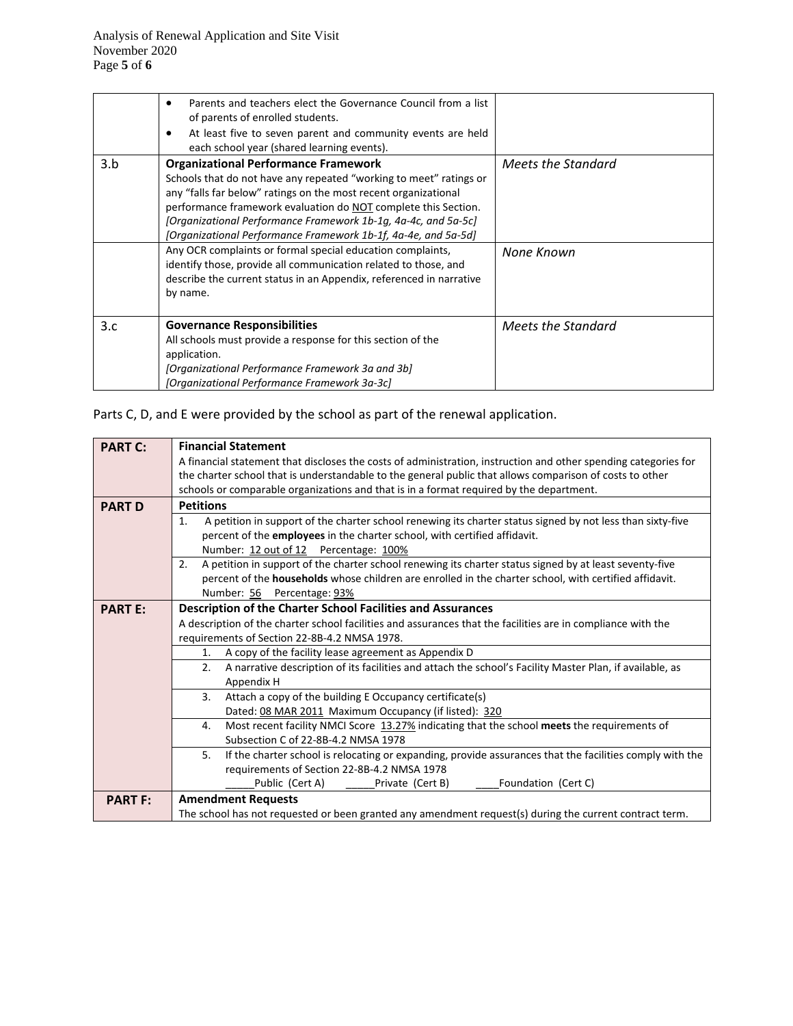|     | Parents and teachers elect the Governance Council from a list<br>٠<br>of parents of enrolled students.<br>At least five to seven parent and community events are held<br>$\bullet$<br>each school year (shared learning events).                                                                                                                                                           |                    |
|-----|--------------------------------------------------------------------------------------------------------------------------------------------------------------------------------------------------------------------------------------------------------------------------------------------------------------------------------------------------------------------------------------------|--------------------|
| 3.b | <b>Organizational Performance Framework</b><br>Schools that do not have any repeated "working to meet" ratings or<br>any "falls far below" ratings on the most recent organizational<br>performance framework evaluation do NOT complete this Section.<br>[Organizational Performance Framework 1b-1g, 4a-4c, and 5a-5c]<br>[Organizational Performance Framework 1b-1f, 4a-4e, and 5a-5d] | Meets the Standard |
|     | Any OCR complaints or formal special education complaints,<br>identify those, provide all communication related to those, and<br>describe the current status in an Appendix, referenced in narrative<br>by name.                                                                                                                                                                           | None Known         |
| 3.c | <b>Governance Responsibilities</b><br>All schools must provide a response for this section of the<br>application.<br>[Organizational Performance Framework 3a and 3b]<br>[Organizational Performance Framework 3a-3c]                                                                                                                                                                      | Meets the Standard |

Parts C, D, and E were provided by the school as part of the renewal application.

| <b>PART C:</b> | <b>Financial Statement</b>                                                                                       |  |  |  |  |  |  |
|----------------|------------------------------------------------------------------------------------------------------------------|--|--|--|--|--|--|
|                | A financial statement that discloses the costs of administration, instruction and other spending categories for  |  |  |  |  |  |  |
|                | the charter school that is understandable to the general public that allows comparison of costs to other         |  |  |  |  |  |  |
|                | schools or comparable organizations and that is in a format required by the department.                          |  |  |  |  |  |  |
| <b>PART D</b>  | <b>Petitions</b>                                                                                                 |  |  |  |  |  |  |
|                | A petition in support of the charter school renewing its charter status signed by not less than sixty-five<br>1. |  |  |  |  |  |  |
|                | percent of the employees in the charter school, with certified affidavit.                                        |  |  |  |  |  |  |
|                | Number: 12 out of 12 Percentage: 100%                                                                            |  |  |  |  |  |  |
|                | A petition in support of the charter school renewing its charter status signed by at least seventy-five<br>2.    |  |  |  |  |  |  |
|                | percent of the <b>households</b> whose children are enrolled in the charter school, with certified affidavit.    |  |  |  |  |  |  |
|                | Number: 56 Percentage: 93%                                                                                       |  |  |  |  |  |  |
| <b>PART E:</b> | <b>Description of the Charter School Facilities and Assurances</b>                                               |  |  |  |  |  |  |
|                | A description of the charter school facilities and assurances that the facilities are in compliance with the     |  |  |  |  |  |  |
|                | requirements of Section 22-8B-4.2 NMSA 1978.                                                                     |  |  |  |  |  |  |
|                | A copy of the facility lease agreement as Appendix D<br>1.                                                       |  |  |  |  |  |  |
|                | A narrative description of its facilities and attach the school's Facility Master Plan, if available, as<br>2.   |  |  |  |  |  |  |
|                | Appendix H                                                                                                       |  |  |  |  |  |  |
|                | 3 <sub>1</sub><br>Attach a copy of the building E Occupancy certificate(s)                                       |  |  |  |  |  |  |
|                | Dated: 08 MAR 2011 Maximum Occupancy (if listed): 320                                                            |  |  |  |  |  |  |
|                | Most recent facility NMCI Score 13.27% indicating that the school meets the requirements of<br>4.                |  |  |  |  |  |  |
|                | Subsection C of 22-8B-4.2 NMSA 1978                                                                              |  |  |  |  |  |  |
|                | If the charter school is relocating or expanding, provide assurances that the facilities comply with the<br>5.   |  |  |  |  |  |  |
|                | requirements of Section 22-8B-4.2 NMSA 1978                                                                      |  |  |  |  |  |  |
|                | Public (Cert A)<br>Private (Cert B)<br>Foundation (Cert C)                                                       |  |  |  |  |  |  |
| <b>PART F:</b> | <b>Amendment Requests</b>                                                                                        |  |  |  |  |  |  |
|                | The school has not requested or been granted any amendment request(s) during the current contract term.          |  |  |  |  |  |  |